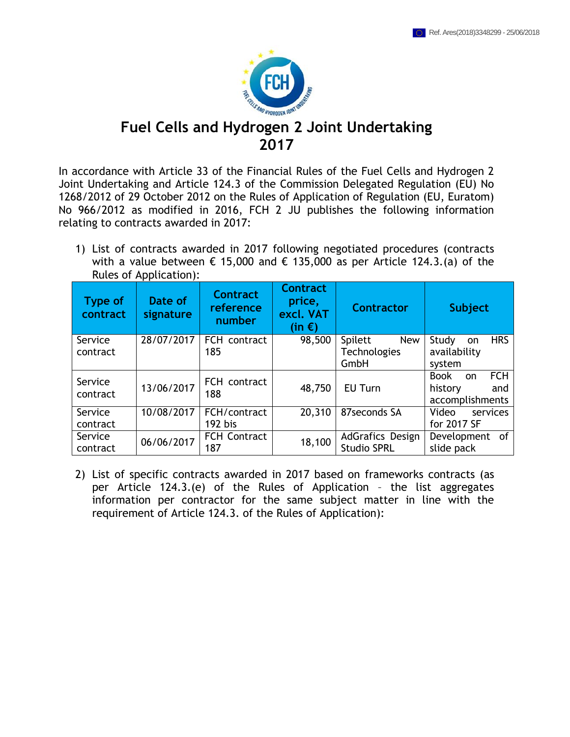

## **Fuel Cells and Hydrogen 2 Joint Undertaking 2017**

In accordance with Article 33 of the Financial Rules of the Fuel Cells and Hydrogen 2 Joint Undertaking and Article 124.3 of the Commission Delegated Regulation (EU) No 1268/2012 of 29 October 2012 on the Rules of Application of Regulation (EU, Euratom) No 966/2012 as modified in 2016, FCH 2 JU publishes the following information relating to contracts awarded in 2017:

1) List of contracts awarded in 2017 following negotiated procedures (contracts with a value between  $\epsilon$  15,000 and  $\epsilon$  135,000 as per Article 124.3.(a) of the Rules of Application):

| <b>Type of</b><br>contract | Date of<br>signature | <b>Contract</b><br>reference<br>number | <b>Contract</b><br>price,<br>excl. VAT<br>$(in \in)$ | <b>Contractor</b>       | <b>Subject</b>                             |
|----------------------------|----------------------|----------------------------------------|------------------------------------------------------|-------------------------|--------------------------------------------|
| Service                    | 28/07/2017           | FCH contract                           | 98,500                                               | Spilett<br><b>New</b>   | <b>HRS</b><br>Study<br><b>on</b>           |
| contract                   |                      | 185                                    |                                                      | <b>Technologies</b>     | availability                               |
|                            |                      |                                        |                                                      | GmbH                    | system                                     |
| Service                    |                      | FCH contract                           |                                                      |                         | <b>FCH</b><br><b>Book</b><br><sub>on</sub> |
| contract                   | 13/06/2017           | 188                                    | 48,750                                               | EU Turn                 | history<br>and                             |
|                            |                      |                                        |                                                      |                         | accomplishments                            |
| Service                    | 10/08/2017           | FCH/contract                           | 20,310                                               | 87seconds SA            | Video<br>services                          |
| contract                   |                      | 192 bis                                |                                                      |                         | for 2017 SF                                |
| Service                    | 06/06/2017           | <b>FCH Contract</b>                    | 18,100                                               | <b>AdGrafics Design</b> | Development of                             |
| contract                   |                      | 187                                    |                                                      | <b>Studio SPRL</b>      | slide pack                                 |

2) List of specific contracts awarded in 2017 based on frameworks contracts (as per Article 124.3.(e) of the Rules of Application – the list aggregates information per contractor for the same subject matter in line with the requirement of Article 124.3. of the Rules of Application):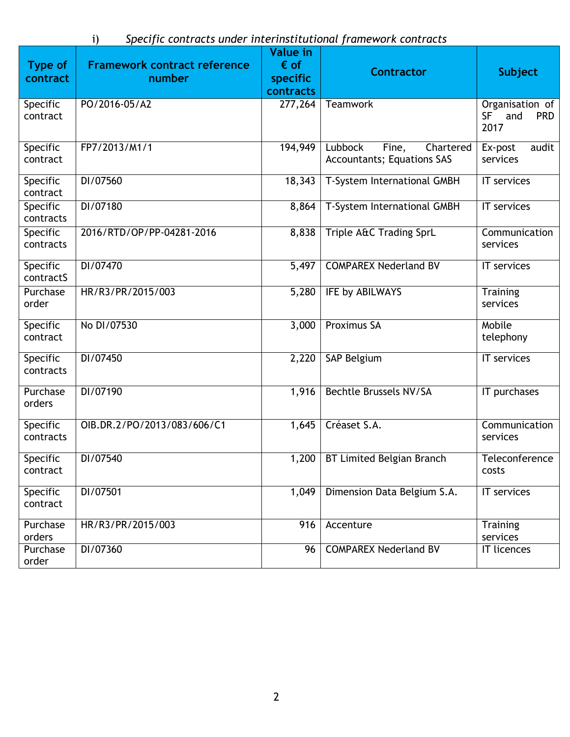i) *Specific contracts under interinstitutional framework contracts*

|                              |                                     | <b>Value in</b> |                                                                    |                                                           |
|------------------------------|-------------------------------------|-----------------|--------------------------------------------------------------------|-----------------------------------------------------------|
| <b>Type of</b>               | <b>Framework contract reference</b> | $\epsilon$ of   | <b>Contractor</b>                                                  | <b>Subject</b>                                            |
| contract                     | number                              | specific        |                                                                    |                                                           |
|                              |                                     | contracts       |                                                                    |                                                           |
| Specific<br>contract         | PO/2016-05/A2                       | 277,264         | Teamwork                                                           | Organisation of<br><b>SF</b><br>and<br><b>PRD</b><br>2017 |
| Specific<br>contract         | FP7/2013/M1/1                       | 194,949         | Lubbock<br>Chartered<br>Fine,<br><b>Accountants; Equations SAS</b> | Ex-post<br>audit<br>services                              |
| Specific<br>contract         | DI/07560                            | 18,343          | T-System International GMBH                                        | IT services                                               |
| Specific<br>contracts        | DI/07180                            | 8,864           | T-System International GMBH                                        | IT services                                               |
| Specific<br>contracts        | 2016/RTD/OP/PP-04281-2016           | 8,838           | Triple A&C Trading SprL                                            | Communication<br>services                                 |
| Specific<br>contractS        | DI/07470                            | 5,497           | <b>COMPAREX Nederland BV</b>                                       | IT services                                               |
| Purchase<br>order            | HR/R3/PR/2015/003                   | 5,280           | IFE by ABILWAYS                                                    | Training<br>services                                      |
| Specific<br>contract         | No DI/07530                         | 3,000           | Proximus SA                                                        | Mobile<br>telephony                                       |
| Specific<br>contracts        | DI/07450                            | 2,220           | SAP Belgium                                                        | IT services                                               |
| Purchase<br>orders           | DI/07190                            | 1,916           | <b>Bechtle Brussels NV/SA</b>                                      | IT purchases                                              |
| <b>Specific</b><br>contracts | OIB.DR.2/PO/2013/083/606/C1         | 1,645           | Créaset S.A.                                                       | Communication<br>services                                 |
| Specific<br>contract         | DI/07540                            | 1,200           | <b>BT Limited Belgian Branch</b>                                   | Teleconference<br>costs                                   |
| Specific<br>contract         | DI/07501                            | 1,049           | Dimension Data Belgium S.A.                                        | IT services                                               |
| Purchase<br>orders           | HR/R3/PR/2015/003                   | 916             | Accenture                                                          | <b>Training</b><br>services                               |
| Purchase<br>order            | DI/07360                            | 96              | <b>COMPAREX Nederland BV</b>                                       | <b>IT licences</b>                                        |